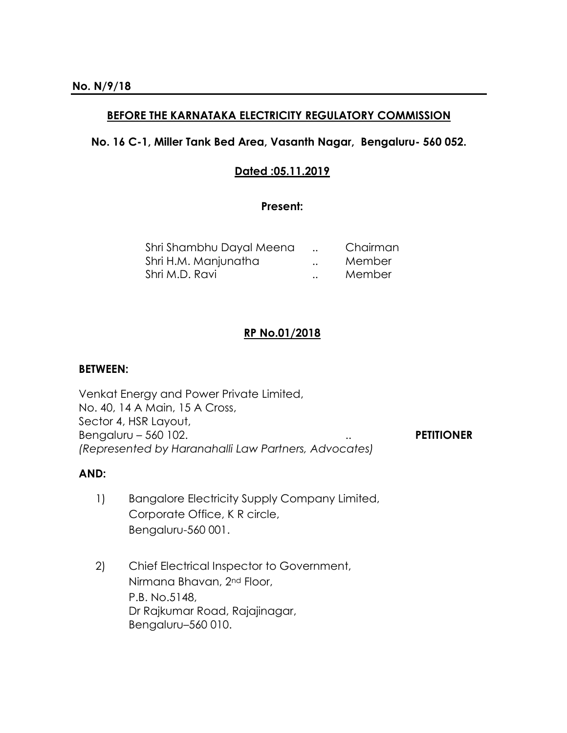# **BEFORE THE KARNATAKA ELECTRICITY REGULATORY COMMISSION**

## **No. 16 C-1, Miller Tank Bed Area, Vasanth Nagar, Bengaluru- 560 052.**

## **Dated :05.11.2019**

#### **Present:**

| Shri Shambhu Dayal Meena |                      | Chairman |
|--------------------------|----------------------|----------|
| Shri H.M. Manjunatha     | $\ddot{\phantom{0}}$ | Member   |
| Shri M.D. Ravi           | $\ddot{\phantom{a}}$ | Member   |

# **RP No.01/2018**

#### **BETWEEN:**

Venkat Energy and Power Private Limited, No. 40, 14 A Main, 15 A Cross, Sector 4, HSR Layout, Bengaluru – 560 102. .. **PETITIONER** *(Represented by Haranahalli Law Partners, Advocates)* 

## **AND:**

- 1) Bangalore Electricity Supply Company Limited, Corporate Office, K R circle, Bengaluru-560 001.
- 2) Chief Electrical Inspector to Government, Nirmana Bhavan, 2nd Floor, P.B. No.5148, Dr Rajkumar Road, Rajajinagar, Bengaluru–560 010.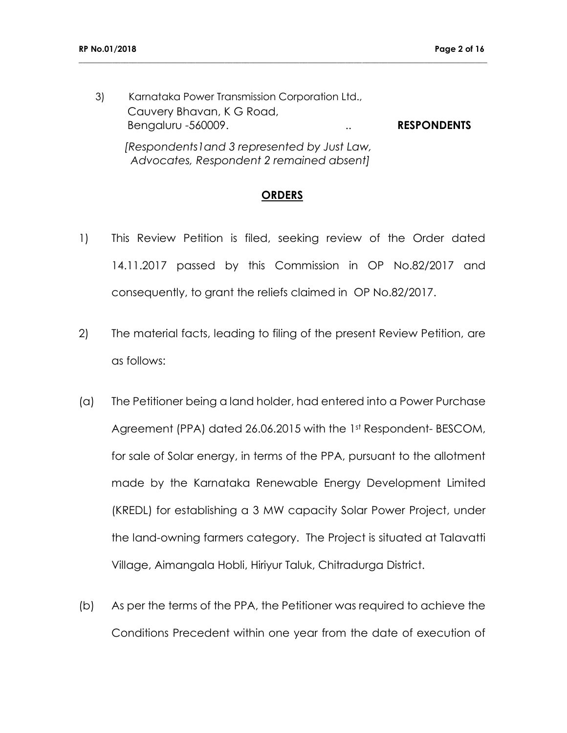3) Karnataka Power Transmission Corporation Ltd., Cauvery Bhavan, K G Road, Bengaluru -560009. .. **RESPONDENTS**  *[Respondents1and 3 represented by Just Law, Advocates, Respondent 2 remained absent]*

**\_\_\_\_\_\_\_\_\_\_\_\_\_\_\_\_\_\_\_\_\_\_\_\_\_\_\_\_\_\_\_\_\_\_\_\_\_\_\_\_\_\_\_\_\_\_\_\_\_\_\_\_\_\_\_\_\_\_\_\_\_\_\_\_\_\_\_\_\_\_\_\_\_\_\_\_\_\_\_\_\_\_\_\_\_\_\_\_\_\_\_\_\_\_\_\_\_\_**

#### **ORDERS**

- 1) This Review Petition is filed, seeking review of the Order dated 14.11.2017 passed by this Commission in OP No.82/2017 and consequently, to grant the reliefs claimed in OP No.82/2017.
- 2) The material facts, leading to filing of the present Review Petition, are as follows:
- (a) The Petitioner being a land holder, had entered into a Power Purchase Agreement (PPA) dated 26.06.2015 with the 1st Respondent-BESCOM, for sale of Solar energy, in terms of the PPA, pursuant to the allotment made by the Karnataka Renewable Energy Development Limited (KREDL) for establishing a 3 MW capacity Solar Power Project, under the land-owning farmers category. The Project is situated at Talavatti Village, Aimangala Hobli, Hiriyur Taluk, Chitradurga District.
- (b) As per the terms of the PPA, the Petitioner was required to achieve the Conditions Precedent within one year from the date of execution of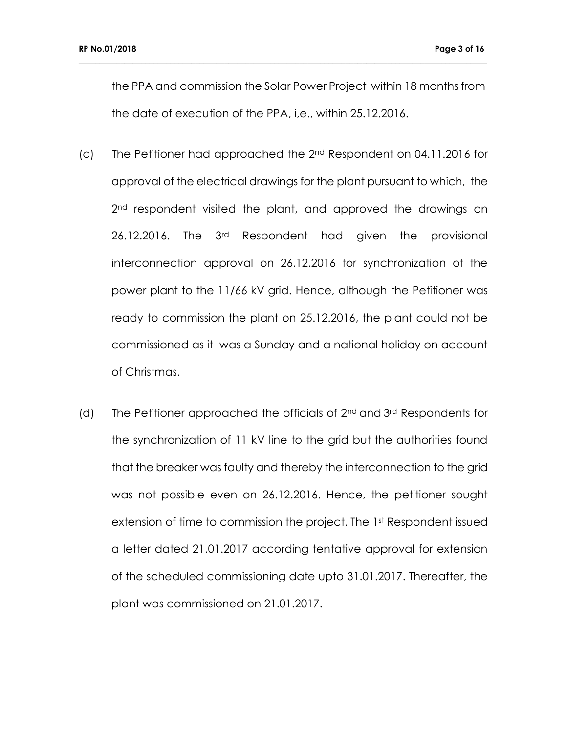the PPA and commission the Solar Power Project within 18 months from the date of execution of the PPA, i,e., within 25.12.2016.

- (c) The Petitioner had approached the 2nd Respondent on 04.11.2016 for approval of the electrical drawings for the plant pursuant to which, the 2<sup>nd</sup> respondent visited the plant, and approved the drawings on 26.12.2016. The 3rd Respondent had given the provisional interconnection approval on 26.12.2016 for synchronization of the power plant to the 11/66 kV grid. Hence, although the Petitioner was ready to commission the plant on 25.12.2016, the plant could not be commissioned as it was a Sunday and a national holiday on account of Christmas.
- (d) The Petitioner approached the officials of 2nd and 3rd Respondents for the synchronization of 11 kV line to the grid but the authorities found that the breaker was faulty and thereby the interconnection to the grid was not possible even on 26.12.2016. Hence, the petitioner sought extension of time to commission the project. The 1<sup>st</sup> Respondent issued a letter dated 21.01.2017 according tentative approval for extension of the scheduled commissioning date upto 31.01.2017. Thereafter, the plant was commissioned on 21.01.2017.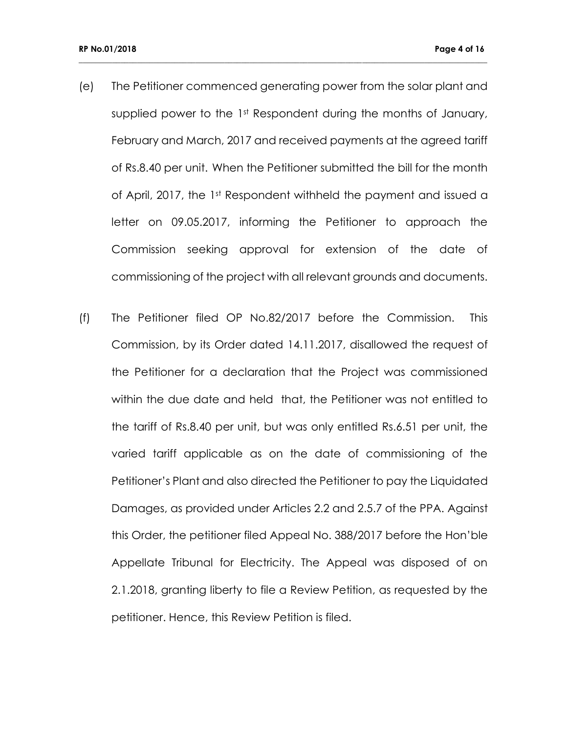(e) The Petitioner commenced generating power from the solar plant and supplied power to the 1st Respondent during the months of January, February and March, 2017 and received payments at the agreed tariff of Rs.8.40 per unit. When the Petitioner submitted the bill for the month of April, 2017, the 1st Respondent withheld the payment and issued a letter on 09.05.2017, informing the Petitioner to approach the Commission seeking approval for extension of the date of commissioning of the project with all relevant grounds and documents.

**\_\_\_\_\_\_\_\_\_\_\_\_\_\_\_\_\_\_\_\_\_\_\_\_\_\_\_\_\_\_\_\_\_\_\_\_\_\_\_\_\_\_\_\_\_\_\_\_\_\_\_\_\_\_\_\_\_\_\_\_\_\_\_\_\_\_\_\_\_\_\_\_\_\_\_\_\_\_\_\_\_\_\_\_\_\_\_\_\_\_\_\_\_\_\_\_\_\_**

(f) The Petitioner filed OP No.82/2017 before the Commission. This Commission, by its Order dated 14.11.2017, disallowed the request of the Petitioner for a declaration that the Project was commissioned within the due date and held that, the Petitioner was not entitled to the tariff of Rs.8.40 per unit, but was only entitled Rs.6.51 per unit, the varied tariff applicable as on the date of commissioning of the Petitioner's Plant and also directed the Petitioner to pay the Liquidated Damages, as provided under Articles 2.2 and 2.5.7 of the PPA. Against this Order, the petitioner filed Appeal No. 388/2017 before the Hon'ble Appellate Tribunal for Electricity. The Appeal was disposed of on 2.1.2018, granting liberty to file a Review Petition, as requested by the petitioner. Hence, this Review Petition is filed.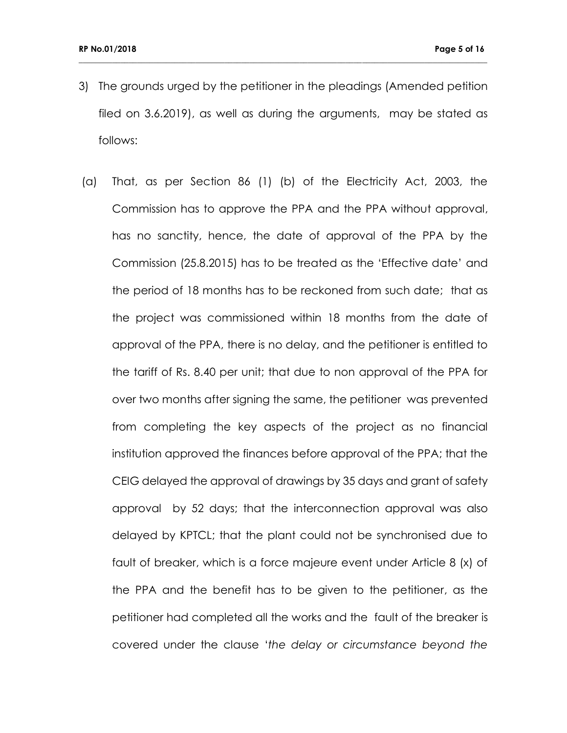3) The grounds urged by the petitioner in the pleadings (Amended petition filed on 3.6.2019), as well as during the arguments, may be stated as follows:

**\_\_\_\_\_\_\_\_\_\_\_\_\_\_\_\_\_\_\_\_\_\_\_\_\_\_\_\_\_\_\_\_\_\_\_\_\_\_\_\_\_\_\_\_\_\_\_\_\_\_\_\_\_\_\_\_\_\_\_\_\_\_\_\_\_\_\_\_\_\_\_\_\_\_\_\_\_\_\_\_\_\_\_\_\_\_\_\_\_\_\_\_\_\_\_\_\_\_**

(a) That, as per Section 86 (1) (b) of the Electricity Act, 2003, the Commission has to approve the PPA and the PPA without approval, has no sanctity, hence, the date of approval of the PPA by the Commission (25.8.2015) has to be treated as the 'Effective date' and the period of 18 months has to be reckoned from such date; that as the project was commissioned within 18 months from the date of approval of the PPA, there is no delay, and the petitioner is entitled to the tariff of Rs. 8.40 per unit; that due to non approval of the PPA for over two months after signing the same, the petitioner was prevented from completing the key aspects of the project as no financial institution approved the finances before approval of the PPA; that the CEIG delayed the approval of drawings by 35 days and grant of safety approval by 52 days; that the interconnection approval was also delayed by KPTCL; that the plant could not be synchronised due to fault of breaker, which is a force majeure event under Article 8 (x) of the PPA and the benefit has to be given to the petitioner, as the petitioner had completed all the works and the fault of the breaker is covered under the clause '*the delay or circumstance beyond the*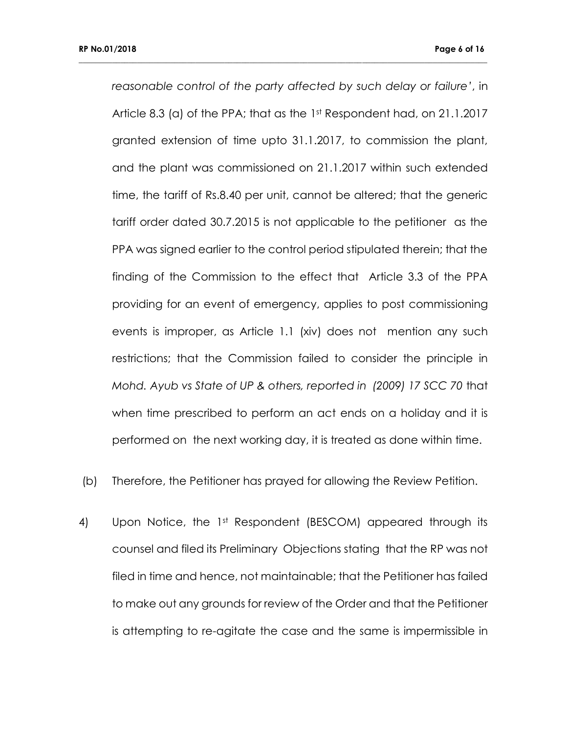*reasonable control of the party affected by such delay or failure'*, in Article 8.3 (a) of the PPA; that as the 1st Respondent had, on 21.1.2017 granted extension of time upto 31.1.2017, to commission the plant, and the plant was commissioned on 21.1.2017 within such extended time, the tariff of Rs.8.40 per unit, cannot be altered; that the generic tariff order dated 30.7.2015 is not applicable to the petitioner as the PPA was signed earlier to the control period stipulated therein; that the finding of the Commission to the effect that Article 3.3 of the PPA providing for an event of emergency, applies to post commissioning events is improper, as Article 1.1 (xiv) does not mention any such restrictions; that the Commission failed to consider the principle in *Mohd. Ayub vs State of UP & others, reported in (2009) 17 SCC 70* that when time prescribed to perform an act ends on a holiday and it is performed on the next working day, it is treated as done within time.

- (b) Therefore, the Petitioner has prayed for allowing the Review Petition.
- 4) Upon Notice, the 1st Respondent (BESCOM) appeared through its counsel and filed its Preliminary Objections stating that the RP was not filed in time and hence, not maintainable; that the Petitioner has failed to make out any grounds for review of the Order and that the Petitioner is attempting to re-agitate the case and the same is impermissible in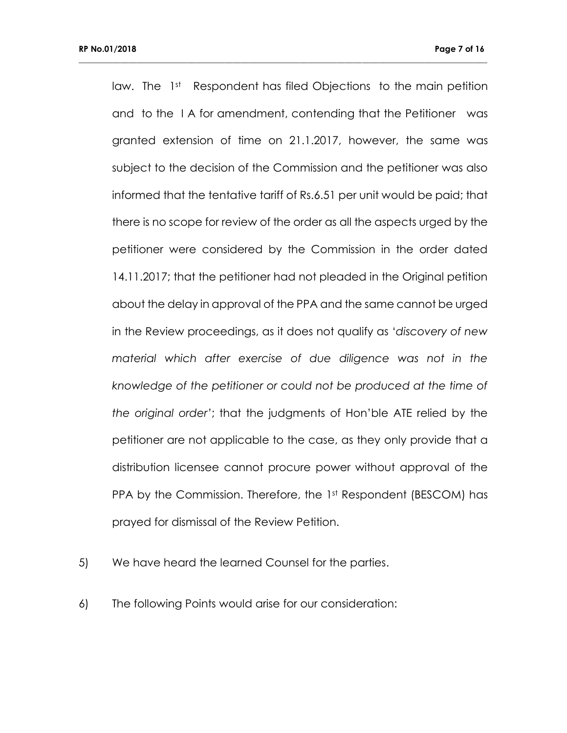law. The 1<sup>st</sup> Respondent has filed Objections to the main petition and to the I A for amendment, contending that the Petitioner was granted extension of time on 21.1.2017, however, the same was subject to the decision of the Commission and the petitioner was also informed that the tentative tariff of Rs.6.51 per unit would be paid; that there is no scope for review of the order as all the aspects urged by the petitioner were considered by the Commission in the order dated 14.11.2017; that the petitioner had not pleaded in the Original petition about the delay in approval of the PPA and the same cannot be urged in the Review proceedings, as it does not qualify as '*discovery of new material which after exercise of due diligence was not in the knowledge of the petitioner or could not be produced at the time of the original order'*; that the judgments of Hon'ble ATE relied by the petitioner are not applicable to the case, as they only provide that a distribution licensee cannot procure power without approval of the PPA by the Commission. Therefore, the 1st Respondent (BESCOM) has prayed for dismissal of the Review Petition.

- 5) We have heard the learned Counsel for the parties.
- 6) The following Points would arise for our consideration: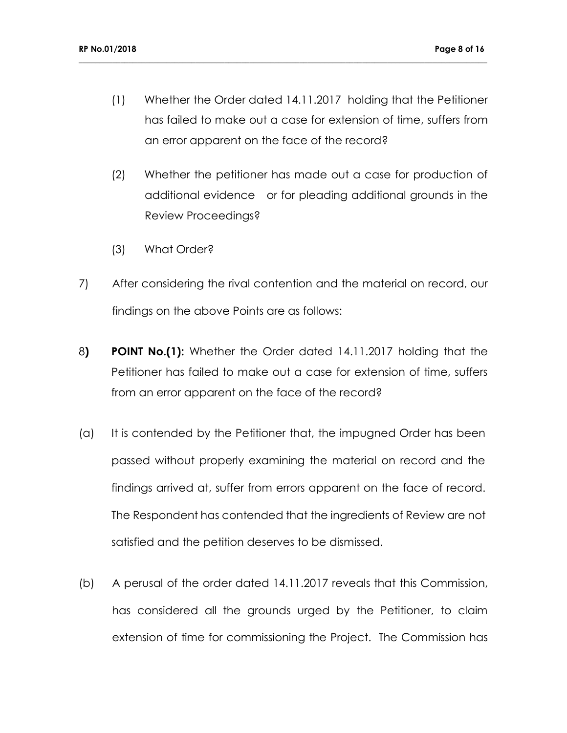(1) Whether the Order dated 14.11.2017 holding that the Petitioner has failed to make out a case for extension of time, suffers from an error apparent on the face of the record?

- (2) Whether the petitioner has made out a case for production of additional evidence or for pleading additional grounds in the Review Proceedings?
- (3) What Order?
- 7) After considering the rival contention and the material on record, our findings on the above Points are as follows:
- 8**) POINT No.(1):** Whether the Order dated 14.11.2017 holding that the Petitioner has failed to make out a case for extension of time, suffers from an error apparent on the face of the record?
- (a) It is contended by the Petitioner that, the impugned Order has been passed without properly examining the material on record and the findings arrived at, suffer from errors apparent on the face of record. The Respondent has contended that the ingredients of Review are not satisfied and the petition deserves to be dismissed.
- (b) A perusal of the order dated 14.11.2017 reveals that this Commission, has considered all the grounds urged by the Petitioner, to claim extension of time for commissioning the Project. The Commission has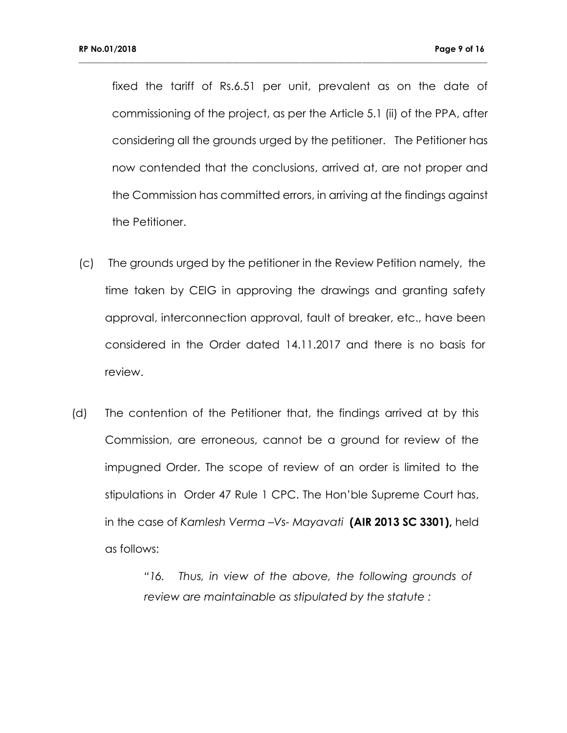fixed the tariff of Rs.6.51 per unit, prevalent as on the date of commissioning of the project, as per the Article 5.1 (ii) of the PPA, after considering all the grounds urged by the petitioner. The Petitioner has now contended that the conclusions, arrived at, are not proper and the Commission has committed errors, in arriving at the findings against the Petitioner.

**\_\_\_\_\_\_\_\_\_\_\_\_\_\_\_\_\_\_\_\_\_\_\_\_\_\_\_\_\_\_\_\_\_\_\_\_\_\_\_\_\_\_\_\_\_\_\_\_\_\_\_\_\_\_\_\_\_\_\_\_\_\_\_\_\_\_\_\_\_\_\_\_\_\_\_\_\_\_\_\_\_\_\_\_\_\_\_\_\_\_\_\_\_\_\_\_\_\_**

- (c) The grounds urged by the petitioner in the Review Petition namely, the time taken by CEIG in approving the drawings and granting safety approval, interconnection approval, fault of breaker, etc., have been considered in the Order dated 14.11.2017 and there is no basis for review.
- (d) The contention of the Petitioner that, the findings arrived at by this Commission, are erroneous, cannot be a ground for review of the impugned Order. The scope of review of an order is limited to the stipulations in Order 47 Rule 1 CPC. The Hon'ble Supreme Court has, in the case of *Kamlesh Verma –Vs- Mayavati* **(AIR 2013 SC 3301),** held as follows:

*"16. Thus, in view of the above, the following grounds of review are maintainable as stipulated by the statute :*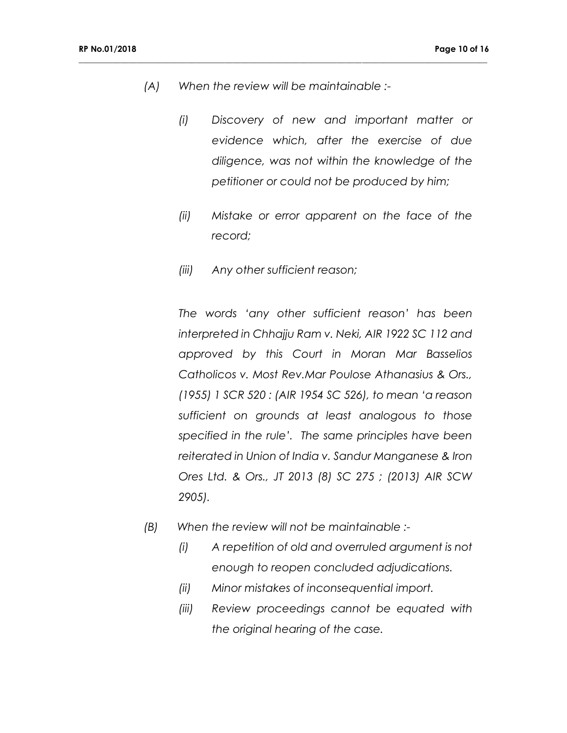*(A) When the review will be maintainable :-*

**\_\_\_\_\_\_\_\_\_\_\_\_\_\_\_\_\_\_\_\_\_\_\_\_\_\_\_\_\_\_\_\_\_\_\_\_\_\_\_\_\_\_\_\_\_\_\_\_\_\_\_\_\_\_\_\_\_\_\_\_\_\_\_\_\_\_\_\_\_\_\_\_\_\_\_\_\_\_\_\_\_\_\_\_\_\_\_\_\_\_\_\_\_\_\_\_\_\_**

- *(i) Discovery of new and important matter or evidence which, after the exercise of due diligence, was not within the knowledge of the petitioner or could not be produced by him;*
- *(ii) Mistake or error apparent on the face of the record;*
- *(iii) Any other sufficient reason;*

*The words 'any other sufficient reason' has been interpreted in Chhajju Ram v. Neki, AIR 1922 SC 112 and approved by this Court in Moran Mar Basselios Catholicos v. Most Rev.Mar Poulose Athanasius & Ors., (1955) 1 SCR 520 : (AIR 1954 SC 526), to mean 'a reason sufficient on grounds at least analogous to those specified in the rule'. The same principles have been reiterated in Union of India v. Sandur Manganese & Iron Ores Ltd. & Ors., JT 2013 (8) SC 275 ; (2013) AIR SCW 2905).*

- *(B) When the review will not be maintainable :-*
	- *(i) A repetition of old and overruled argument is not enough to reopen concluded adjudications.*
	- *(ii) Minor mistakes of inconsequential import.*
	- *(iii) Review proceedings cannot be equated with the original hearing of the case.*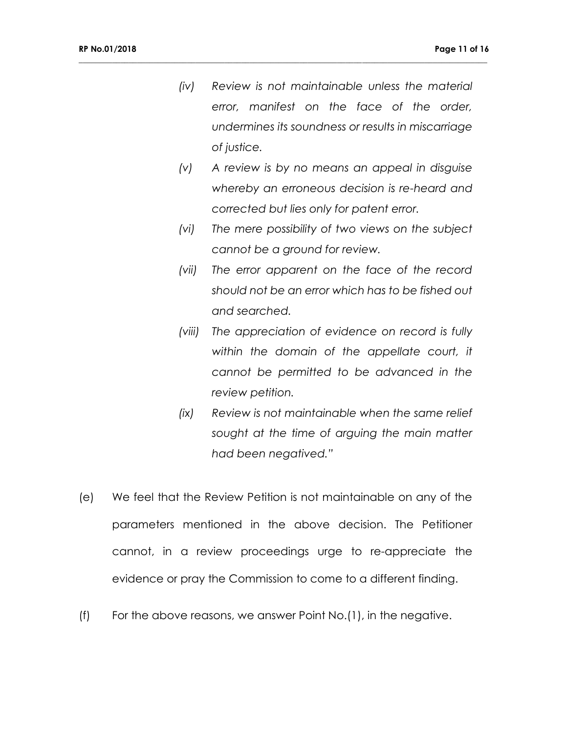*(iv) Review is not maintainable unless the material error, manifest on the face of the order, undermines its soundness or results in miscarriage of justice.*

- *(v) A review is by no means an appeal in disguise whereby an erroneous decision is re-heard and corrected but lies only for patent error.*
- *(vi) The mere possibility of two views on the subject cannot be a ground for review.*
- *(vii) The error apparent on the face of the record should not be an error which has to be fished out and searched.*
- *(viii) The appreciation of evidence on record is fully within the domain of the appellate court, it cannot be permitted to be advanced in the review petition.*
- *(ix) Review is not maintainable when the same relief sought at the time of arguing the main matter had been negatived."*
- (e) We feel that the Review Petition is not maintainable on any of the parameters mentioned in the above decision. The Petitioner cannot, in a review proceedings urge to re-appreciate the evidence or pray the Commission to come to a different finding.
- (f) For the above reasons, we answer Point No.(1), in the negative.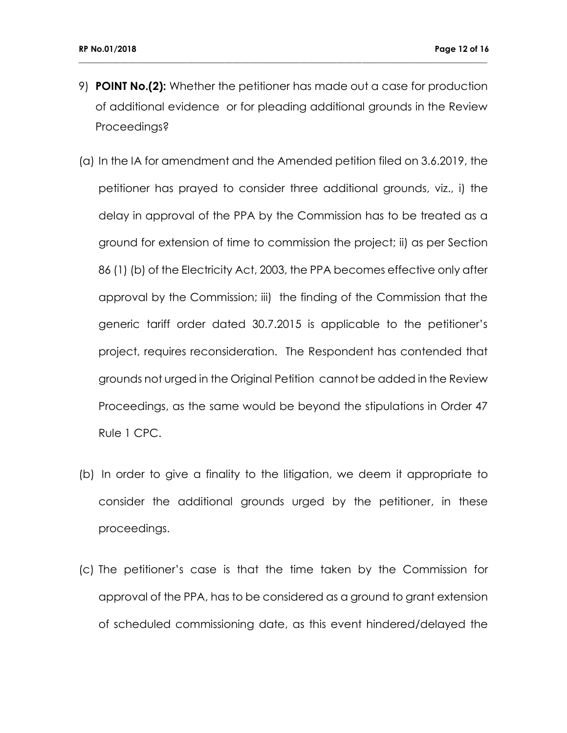9) **POINT No.(2):** Whether the petitioner has made out a case for production of additional evidence or for pleading additional grounds in the Review Proceedings?

- (a) In the IA for amendment and the Amended petition filed on 3.6.2019, the petitioner has prayed to consider three additional grounds, viz., i) the delay in approval of the PPA by the Commission has to be treated as a ground for extension of time to commission the project; ii) as per Section 86 (1) (b) of the Electricity Act, 2003, the PPA becomes effective only after approval by the Commission; iii) the finding of the Commission that the generic tariff order dated 30.7.2015 is applicable to the petitioner's project, requires reconsideration. The Respondent has contended that grounds not urged in the Original Petition cannot be added in the Review Proceedings, as the same would be beyond the stipulations in Order 47 Rule 1 CPC.
- (b) In order to give a finality to the litigation, we deem it appropriate to consider the additional grounds urged by the petitioner, in these proceedings.
- (c) The petitioner's case is that the time taken by the Commission for approval of the PPA, has to be considered as a ground to grant extension of scheduled commissioning date, as this event hindered/delayed the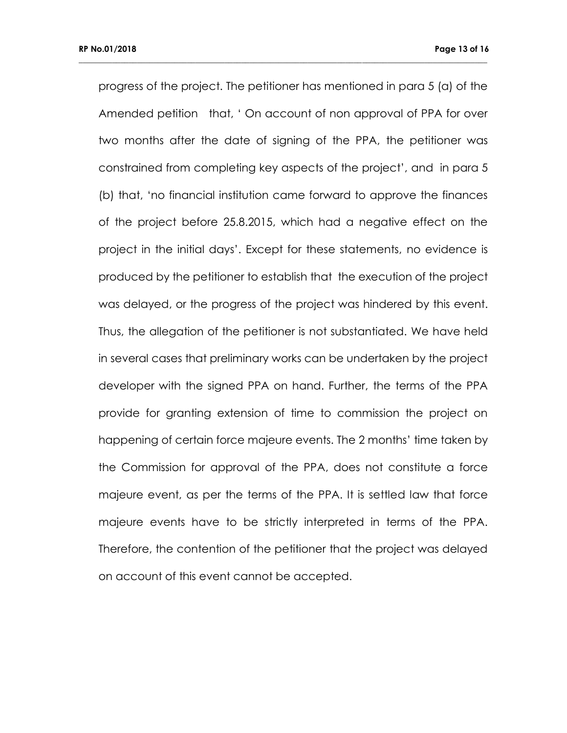progress of the project. The petitioner has mentioned in para 5 (a) of the Amended petition that, ' On account of non approval of PPA for over two months after the date of signing of the PPA, the petitioner was constrained from completing key aspects of the project', and in para 5 (b) that, 'no financial institution came forward to approve the finances of the project before 25.8.2015, which had a negative effect on the project in the initial days'. Except for these statements, no evidence is produced by the petitioner to establish that the execution of the project was delayed, or the progress of the project was hindered by this event. Thus, the allegation of the petitioner is not substantiated. We have held in several cases that preliminary works can be undertaken by the project developer with the signed PPA on hand. Further, the terms of the PPA provide for granting extension of time to commission the project on happening of certain force majeure events. The 2 months' time taken by the Commission for approval of the PPA, does not constitute a force majeure event, as per the terms of the PPA. It is settled law that force majeure events have to be strictly interpreted in terms of the PPA. Therefore, the contention of the petitioner that the project was delayed on account of this event cannot be accepted.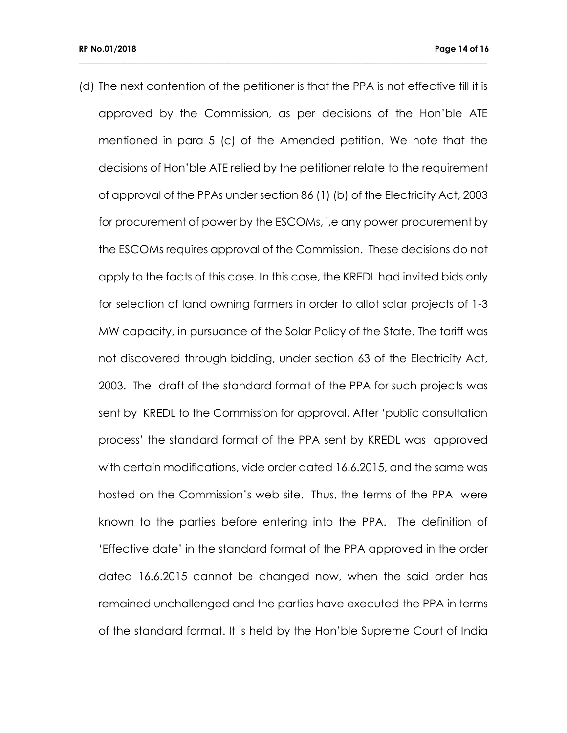(d) The next contention of the petitioner is that the PPA is not effective till it is approved by the Commission, as per decisions of the Hon'ble ATE mentioned in para 5 (c) of the Amended petition. We note that the decisions of Hon'ble ATE relied by the petitioner relate to the requirement of approval of the PPAs under section 86 (1) (b) of the Electricity Act, 2003 for procurement of power by the ESCOMs, i,e any power procurement by the ESCOMs requires approval of the Commission. These decisions do not apply to the facts of this case. In this case, the KREDL had invited bids only for selection of land owning farmers in order to allot solar projects of 1-3 MW capacity, in pursuance of the Solar Policy of the State. The tariff was not discovered through bidding, under section 63 of the Electricity Act, 2003. The draft of the standard format of the PPA for such projects was sent by KREDL to the Commission for approval. After 'public consultation process' the standard format of the PPA sent by KREDL was approved with certain modifications, vide order dated 16.6.2015, and the same was hosted on the Commission's web site. Thus, the terms of the PPA were known to the parties before entering into the PPA. The definition of 'Effective date' in the standard format of the PPA approved in the order dated 16.6.2015 cannot be changed now, when the said order has remained unchallenged and the parties have executed the PPA in terms of the standard format. It is held by the Hon'ble Supreme Court of India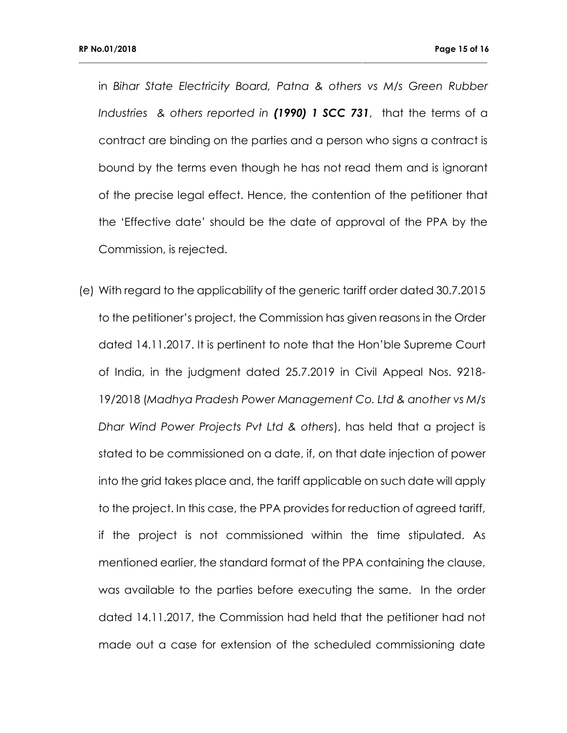in *Bihar State Electricity Board, Patna & others vs M/s Green Rubber Industries & others reported in (1990) 1 SCC 731*, that the terms of a contract are binding on the parties and a person who signs a contract is bound by the terms even though he has not read them and is ignorant of the precise legal effect. Hence, the contention of the petitioner that the 'Effective date' should be the date of approval of the PPA by the Commission, is rejected.

**\_\_\_\_\_\_\_\_\_\_\_\_\_\_\_\_\_\_\_\_\_\_\_\_\_\_\_\_\_\_\_\_\_\_\_\_\_\_\_\_\_\_\_\_\_\_\_\_\_\_\_\_\_\_\_\_\_\_\_\_\_\_\_\_\_\_\_\_\_\_\_\_\_\_\_\_\_\_\_\_\_\_\_\_\_\_\_\_\_\_\_\_\_\_\_\_\_\_**

(e) With regard to the applicability of the generic tariff order dated 30.7.2015 to the petitioner's project, the Commission has given reasons in the Order dated 14.11.2017. It is pertinent to note that the Hon'ble Supreme Court of India, in the judgment dated 25.7.2019 in Civil Appeal Nos. 9218- 19/2018 (*Madhya Pradesh Power Management Co. Ltd & another vs M/s Dhar Wind Power Projects Pvt Ltd & others*), has held that a project is stated to be commissioned on a date, if, on that date injection of power into the grid takes place and, the tariff applicable on such date will apply to the project. In this case, the PPA provides for reduction of agreed tariff, if the project is not commissioned within the time stipulated. As mentioned earlier, the standard format of the PPA containing the clause, was available to the parties before executing the same. In the order dated 14.11.2017, the Commission had held that the petitioner had not made out a case for extension of the scheduled commissioning date